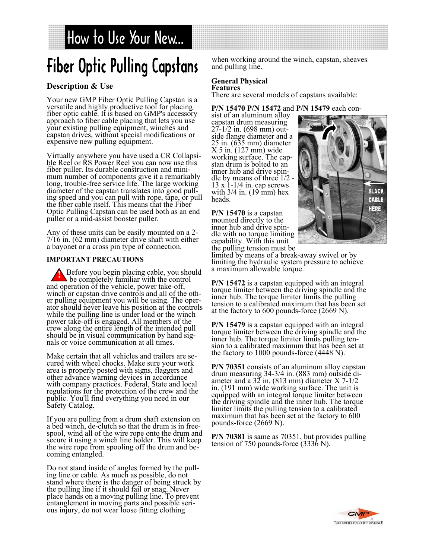# How to Use Your New...

# Fiber Optic Pulling Capstans

## **Description & Use**

Your new GMP Fiber Optic Pulling Capstan is a fiber optic cable. It is based on GMP's accessory approach to fiber cable placing that lets you use your existing pulling equipment, winches and capstan drives, without special modifications or expensive new pulling equipment.

Virtually anywhere you have used a CR Collapsible Reel or RS Power Reel you can now use this fiber puller. Its durable construction and minimum number of components give it a remarkably long, trouble-free service life. The large working diameter of the capstan translates into good pulling speed and you can pull with rope, tape, or pull the fiber cable itself. This means that the Fiber Optic Pulling Capstan can be used both as an end puller or a mid-assist booster puller.

Any of these units can be easily mounted on a 2- 7/16 in. (62 mm) diameter drive shaft with either a bayonet or a cross pin type of connection.

#### **IMPORTANT PRECAUTIONS**

**Before you begin placing cable, you should** be completely familiar with the control and operation of the vehicle, power take-off, winch or capstan drive controls and all of the other pulling equipment you will be using. The operator should never leave his position at the controls while the pulling line is under load or the winch power take-off is engaged. All members of the crew along the entire length of the intended pull should be in visual communication by hand signals or voice communication at all times.

Make certain that all vehicles and trailers are secured with wheel chocks. Make sure your work area is properly posted with signs, flaggers and other advance warning devices in accordance with company practices. Federal, State and local regulations for the protection of the crew and the public. You'll find everything you need in our Safety Catalog.

If you are pulling from a drum shaft extension on a bed winch, de-clutch so that the drum is in freespool, wind all of the wire rope onto the drum and secure it using a winch line holder. This will keep the wire rope from spooling off the drum and becoming entangled.

Do not stand inside of angles formed by the pulling line or cable. As much as possible, do not stand where there is the danger of being struck by the pulling line if it should fail or snag. Never place hands on a moving pulling line. To prevent entanglement in moving parts and possible serious injury, do not wear loose fitting clothing

when working around the winch, capstan, sheaves and pulling line.

#### **General Physical Features**

There are several models of capstans available:

**P/N 15470 P/N 15472** and **P/N 15479** each con-

sist of an aluminum alloy capstan drum measuring 27-1/2 in. (698 mm) outside flange diameter and a 25 in. (635 mm) diameter X 5 in. (127 mm) wide working surface. The capstan drum is bolted to an inner hub and drive spindle by means of three  $1/2$ 13 x 1-1/4 in. cap screws with 3/4 in. (19 mm) hex heads.

**P/N 15470** is a capstan mounted directly to the inner hub and drive spindle with no torque limiting capability. With this unit the pulling tension must be



limited by means of a break-away swivel or by limiting the hydraulic system pressure to achieve a maximum allowable torque.

**P/N 15472** is a capstan equipped with an integral torque limiter between the driving spindle and the inner hub. The torque limiter limits the pulling tension to a calibrated maximum that has been set at the factory to 600 pounds-force (2669 N).

**P/N 15479** is a capstan equipped with an integral torque limiter between the driving spindle and the inner hub. The torque limiter limits pulling tension to a calibrated maximum that has been set at the factory to 1000 pounds-force (4448 N).

**P/N 70351** consists of an aluminum alloy capstan drum measuring 34-3/4 in. (883 mm) outside diameter and a  $32$  in. (813 mm) diameter X 7-1/2 in. (191 mm) wide working surface. The unit is equipped with an integral torque limiter between the driving spindle and the inner hub. The torque limiter limits the pulling tension to a calibrated maximum that has been set at the factory to 600 pounds-force (2669 N).

**P/N 70381** is same as 70351, but provides pulling tension of 750 pounds-force (3336 N).